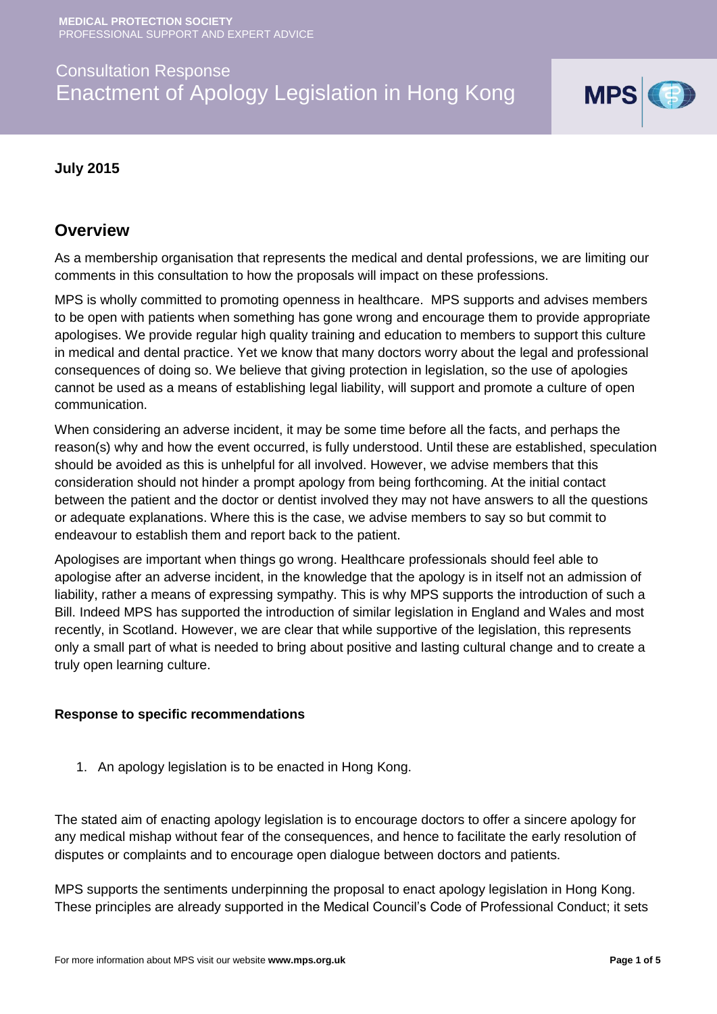# Consultation Response Enactment of Apology Legislation in Hong Kong



#### **July 2015**

## **Overview**

As a membership organisation that represents the medical and dental professions, we are limiting our comments in this consultation to how the proposals will impact on these professions.

MPS is wholly committed to promoting openness in healthcare. MPS supports and advises members to be open with patients when something has gone wrong and encourage them to provide appropriate apologises. We provide regular high quality training and education to members to support this culture in medical and dental practice. Yet we know that many doctors worry about the legal and professional consequences of doing so. We believe that giving protection in legislation, so the use of apologies cannot be used as a means of establishing legal liability, will support and promote a culture of open communication.

When considering an adverse incident, it may be some time before all the facts, and perhaps the reason(s) why and how the event occurred, is fully understood. Until these are established, speculation should be avoided as this is unhelpful for all involved. However, we advise members that this consideration should not hinder a prompt apology from being forthcoming. At the initial contact between the patient and the doctor or dentist involved they may not have answers to all the questions or adequate explanations. Where this is the case, we advise members to say so but commit to endeavour to establish them and report back to the patient.

Apologises are important when things go wrong. Healthcare professionals should feel able to apologise after an adverse incident, in the knowledge that the apology is in itself not an admission of liability, rather a means of expressing sympathy. This is why MPS supports the introduction of such a Bill. Indeed MPS has supported the introduction of similar legislation in England and Wales and most recently, in Scotland. However, we are clear that while supportive of the legislation, this represents only a small part of what is needed to bring about positive and lasting cultural change and to create a truly open learning culture.

#### **Response to specific recommendations**

1. An apology legislation is to be enacted in Hong Kong.

The stated aim of enacting apology legislation is to encourage doctors to offer a sincere apology for any medical mishap without fear of the consequences, and hence to facilitate the early resolution of disputes or complaints and to encourage open dialogue between doctors and patients.

MPS supports the sentiments underpinning the proposal to enact apology legislation in Hong Kong. These principles are already supported in the Medical Council's Code of Professional Conduct; it sets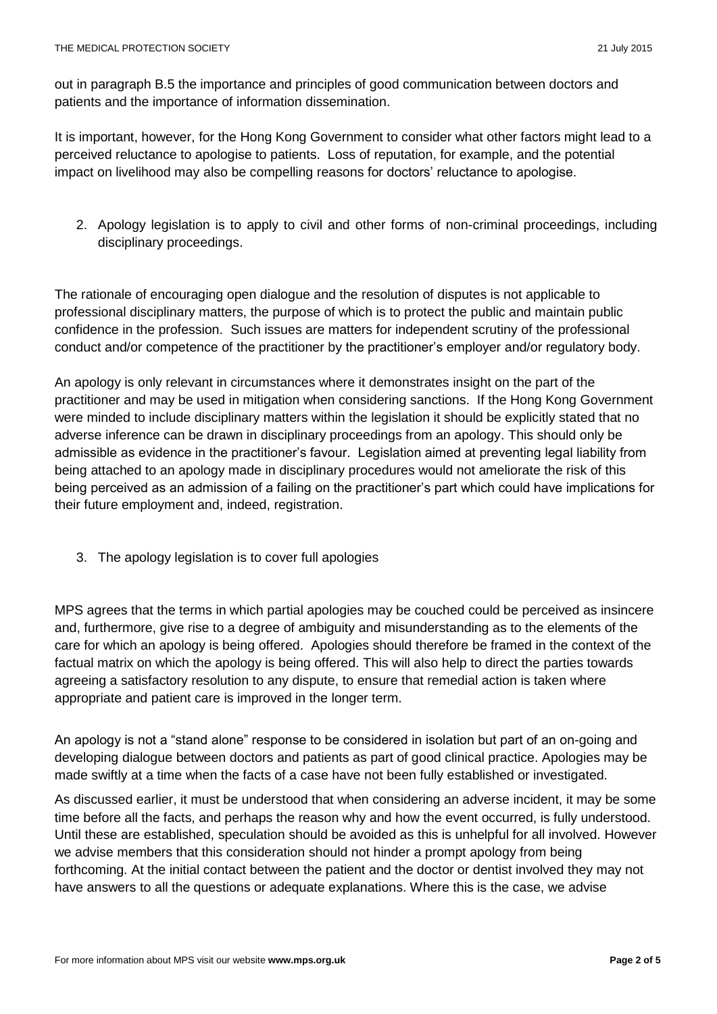out in paragraph B.5 the importance and principles of good communication between doctors and patients and the importance of information dissemination.

It is important, however, for the Hong Kong Government to consider what other factors might lead to a perceived reluctance to apologise to patients. Loss of reputation, for example, and the potential impact on livelihood may also be compelling reasons for doctors' reluctance to apologise.

2. Apology legislation is to apply to civil and other forms of non-criminal proceedings, including disciplinary proceedings.

The rationale of encouraging open dialogue and the resolution of disputes is not applicable to professional disciplinary matters, the purpose of which is to protect the public and maintain public confidence in the profession. Such issues are matters for independent scrutiny of the professional conduct and/or competence of the practitioner by the practitioner's employer and/or regulatory body.

An apology is only relevant in circumstances where it demonstrates insight on the part of the practitioner and may be used in mitigation when considering sanctions. If the Hong Kong Government were minded to include disciplinary matters within the legislation it should be explicitly stated that no adverse inference can be drawn in disciplinary proceedings from an apology. This should only be admissible as evidence in the practitioner's favour. Legislation aimed at preventing legal liability from being attached to an apology made in disciplinary procedures would not ameliorate the risk of this being perceived as an admission of a failing on the practitioner's part which could have implications for their future employment and, indeed, registration.

3. The apology legislation is to cover full apologies

MPS agrees that the terms in which partial apologies may be couched could be perceived as insincere and, furthermore, give rise to a degree of ambiguity and misunderstanding as to the elements of the care for which an apology is being offered. Apologies should therefore be framed in the context of the factual matrix on which the apology is being offered. This will also help to direct the parties towards agreeing a satisfactory resolution to any dispute, to ensure that remedial action is taken where appropriate and patient care is improved in the longer term.

An apology is not a "stand alone" response to be considered in isolation but part of an on-going and developing dialogue between doctors and patients as part of good clinical practice. Apologies may be made swiftly at a time when the facts of a case have not been fully established or investigated.

As discussed earlier, it must be understood that when considering an adverse incident, it may be some time before all the facts, and perhaps the reason why and how the event occurred, is fully understood. Until these are established, speculation should be avoided as this is unhelpful for all involved. However we advise members that this consideration should not hinder a prompt apology from being forthcoming. At the initial contact between the patient and the doctor or dentist involved they may not have answers to all the questions or adequate explanations. Where this is the case, we advise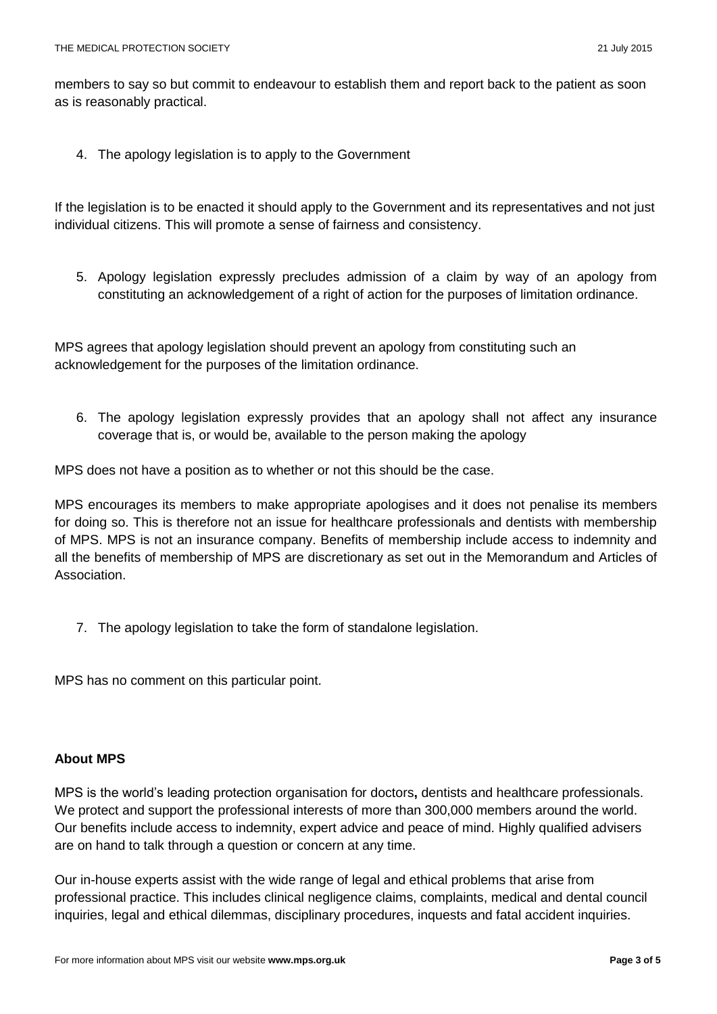members to say so but commit to endeavour to establish them and report back to the patient as soon as is reasonably practical.

4. The apology legislation is to apply to the Government

If the legislation is to be enacted it should apply to the Government and its representatives and not just individual citizens. This will promote a sense of fairness and consistency.

5. Apology legislation expressly precludes admission of a claim by way of an apology from constituting an acknowledgement of a right of action for the purposes of limitation ordinance.

MPS agrees that apology legislation should prevent an apology from constituting such an acknowledgement for the purposes of the limitation ordinance.

6. The apology legislation expressly provides that an apology shall not affect any insurance coverage that is, or would be, available to the person making the apology

MPS does not have a position as to whether or not this should be the case.

MPS encourages its members to make appropriate apologises and it does not penalise its members for doing so. This is therefore not an issue for healthcare professionals and dentists with membership of MPS. MPS is not an insurance company. Benefits of membership include access to indemnity and all the benefits of membership of MPS are discretionary as set out in the [Memorandum and Articles of](http://www.medicalprotection.org/docs/default-source/pdfs/financial-information/mps_memoarts_june-2013.pdf?sfvrsn=4)  [Association.](http://www.medicalprotection.org/docs/default-source/pdfs/financial-information/mps_memoarts_june-2013.pdf?sfvrsn=4)

7. The apology legislation to take the form of standalone legislation.

MPS has no comment on this particular point.

#### **About MPS**

MPS is the world's leading protection organisation for doctors**,** dentists and healthcare professionals. We protect and support the professional interests of more than 300,000 members around the world. Our benefits include access to indemnity, expert advice and peace of mind. Highly qualified advisers are on hand to talk through a question or concern at any time.

Our in-house experts assist with the wide range of legal and ethical problems that arise from professional practice. This includes clinical negligence claims, complaints, medical and dental council inquiries, legal and ethical dilemmas, disciplinary procedures, inquests and fatal accident inquiries.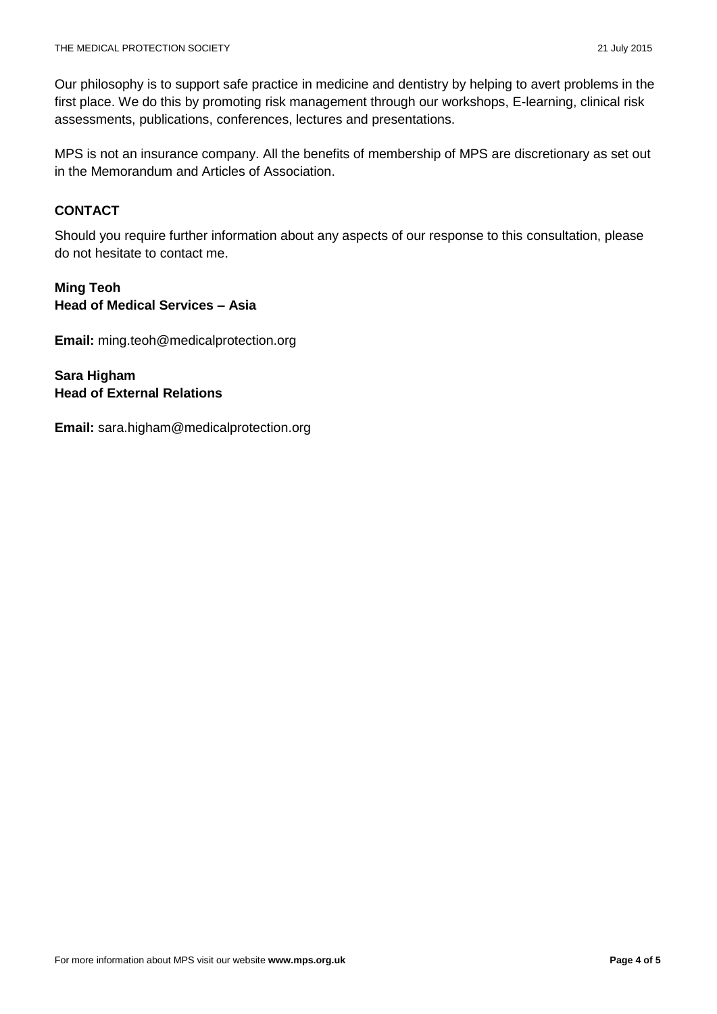Our philosophy is to support safe practice in medicine and dentistry by helping to avert problems in the first place. We do this by promoting risk management through our workshops, E-learning, clinical risk assessments, publications, conferences, lectures and presentations.

MPS is not an insurance company. All the benefits of membership of MPS are discretionary as set out in the [Memorandum and Articles of Association.](http://www.medicalprotection.org/docs/default-source/pdfs/financial-information/mps_memoarts_june-2013.pdf?sfvrsn=4)

## **CONTACT**

Should you require further information about any aspects of our response to this consultation, please do not hesitate to contact me.

### **Ming Teoh Head of Medical Services – Asia**

**Email:** ming.teoh@medicalprotection.org

**Sara Higham Head of External Relations**

**Email:** sara.higham@medicalprotection.org